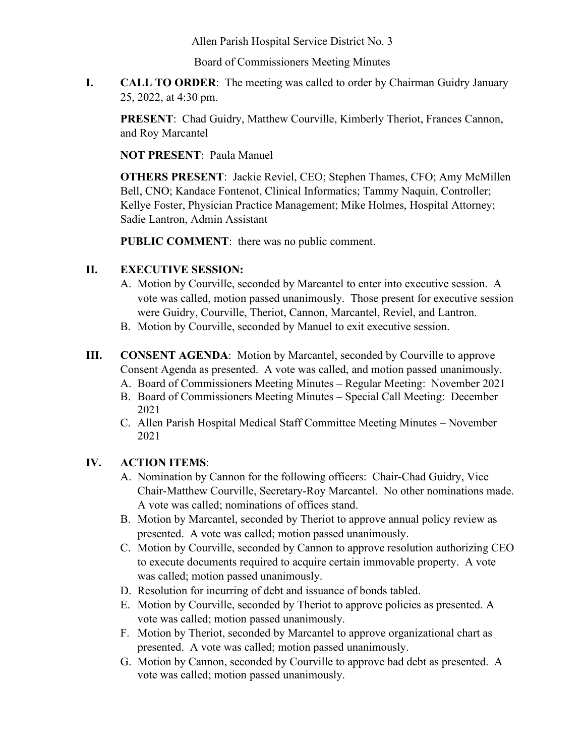Allen Parish Hospital Service District No. 3

Board of Commissioners Meeting Minutes

**I. CALL TO ORDER**: The meeting was called to order by Chairman Guidry January 25, 2022, at 4:30 pm.

**PRESENT:** Chad Guidry, Matthew Courville, Kimberly Theriot, Frances Cannon, and Roy Marcantel

**NOT PRESENT**: Paula Manuel

**OTHERS PRESENT**: Jackie Reviel, CEO; Stephen Thames, CFO; Amy McMillen Bell, CNO; Kandace Fontenot, Clinical Informatics; Tammy Naquin, Controller; Kellye Foster, Physician Practice Management; Mike Holmes, Hospital Attorney; Sadie Lantron, Admin Assistant

**PUBLIC COMMENT**: there was no public comment.

## **II. EXECUTIVE SESSION:**

- A. Motion by Courville, seconded by Marcantel to enter into executive session. A vote was called, motion passed unanimously. Those present for executive session were Guidry, Courville, Theriot, Cannon, Marcantel, Reviel, and Lantron.
- B. Motion by Courville, seconded by Manuel to exit executive session.
- **III. CONSENT AGENDA**: Motion by Marcantel, seconded by Courville to approve Consent Agenda as presented. A vote was called, and motion passed unanimously.
	- A. Board of Commissioners Meeting Minutes Regular Meeting: November 2021
	- B. Board of Commissioners Meeting Minutes Special Call Meeting: December 2021
	- C. Allen Parish Hospital Medical Staff Committee Meeting Minutes November 2021

## **IV. ACTION ITEMS**:

- A. Nomination by Cannon for the following officers: Chair-Chad Guidry, Vice Chair-Matthew Courville, Secretary-Roy Marcantel. No other nominations made. A vote was called; nominations of offices stand.
- B. Motion by Marcantel, seconded by Theriot to approve annual policy review as presented. A vote was called; motion passed unanimously.
- C. Motion by Courville, seconded by Cannon to approve resolution authorizing CEO to execute documents required to acquire certain immovable property. A vote was called; motion passed unanimously.
- D. Resolution for incurring of debt and issuance of bonds tabled.
- E. Motion by Courville, seconded by Theriot to approve policies as presented. A vote was called; motion passed unanimously.
- F. Motion by Theriot, seconded by Marcantel to approve organizational chart as presented. A vote was called; motion passed unanimously.
- G. Motion by Cannon, seconded by Courville to approve bad debt as presented. A vote was called; motion passed unanimously.